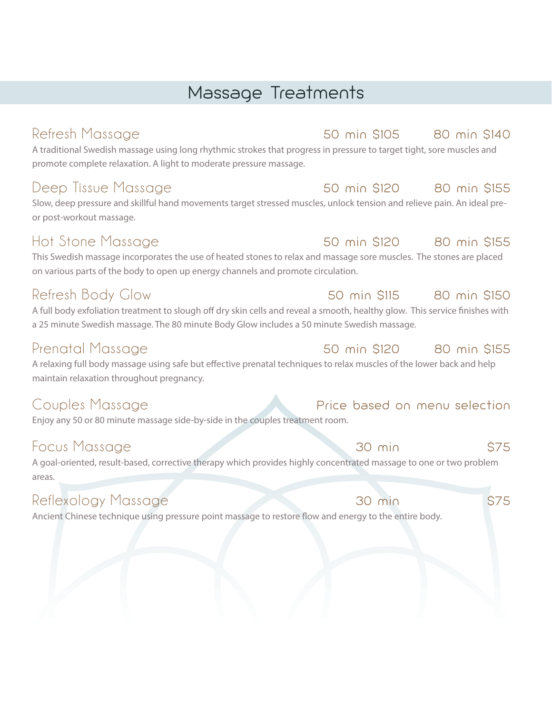## Massage Treatments

A traditional Swedish massage using long rhythmic strokes that progress in pressure to target tight, sore muscles and promote complete relaxation. A light to moderate pressure massage.

### Deep Tissue Massage The Somin \$120 80 min \$155

Slow, deep pressure and skillful hand movements target stressed muscles, unlock tension and relieve pain. An ideal preor post-workout massage.

### Hot Stone Massage 50 min \$120 80 min \$155

This Swedish massage incorporates the use of heated stones to relax and massage sore muscles. The stones are placed on various parts of the body to open up energy channels and promote circulation.

### Refresh Body Glow 50 min \$115 80 min \$150

A full body exfoliation treatment to slough off dry skin cells and reveal a smooth, healthy glow. This service finishes with a 25 minute Swedish massage. The 80 minute Body Glow includes a 50 minute Swedish massage.

### Prenatal Massage 61 March 200 50 min \$120 80 min \$155

A relaxing full body massage using safe but effective prenatal techniques to relax muscles of the lower back and help maintain relaxation throughout pregnancy.

Enjoy any 50 or 80 minute massage side-by-side in the couples treatment room.

A goal-oriented, result-based, corrective therapy which provides highly concentrated massage to one or two problem areas.

### Reflexology Massage 30 min \$75

Ancient Chinese technique using pressure point massage to restore flow and energy to the entire body.

### Couples Massage Price based on menu selection

### Focus Massage 30 min \$75

### Refresh Massage 61 Massage 61 Massage 50 min \$105 80 min \$140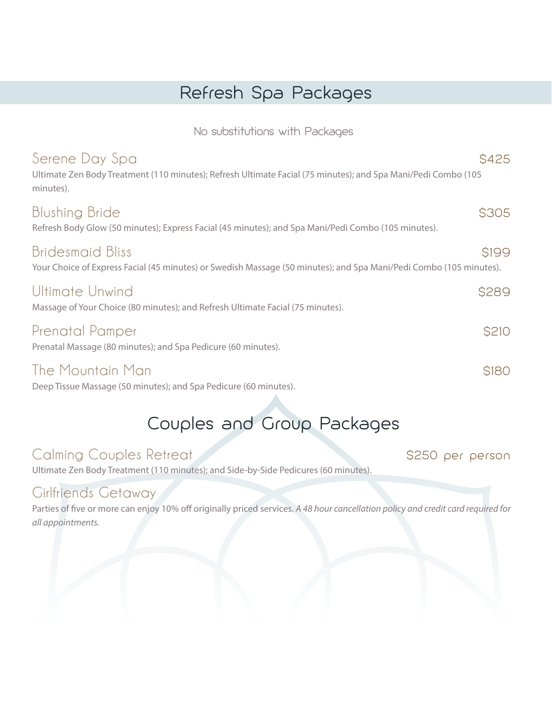## Refresh Spa Packages

No substitutions with Packages

| Serene Day Spa<br>Ultimate Zen Body Treatment (110 minutes); Refresh Ultimate Facial (75 minutes); and Spa Mani/Pedi Combo (105<br>minutes).  | <b>S425</b>  |
|-----------------------------------------------------------------------------------------------------------------------------------------------|--------------|
| <b>Blushing Bride</b><br>Refresh Body Glow (50 minutes); Express Facial (45 minutes); and Spa Mani/Pedi Combo (105 minutes).                  | <b>\$305</b> |
| <b>Bridesmaid Bliss</b><br>Your Choice of Express Facial (45 minutes) or Swedish Massage (50 minutes); and Spa Mani/Pedi Combo (105 minutes). | <b>S199</b>  |
| Ultimate Unwind<br>Massage of Your Choice (80 minutes); and Refresh Ultimate Facial (75 minutes).                                             | <b>\$289</b> |
| Prenatal Pamper<br>Prenatal Massage (80 minutes); and Spa Pedicure (60 minutes).                                                              | <b>S210</b>  |
| The Mountain Man<br>Deep Tissue Massage (50 minutes); and Spa Pedicure (60 minutes).                                                          | <b>S180</b>  |

## Couples and Group Packages

### Calming Couples Retreat \$250 per person

Ultimate Zen Body Treatment (110 minutes); and Side-by-Side Pedicures (60 minutes).

### Girlfriends Getaway

Parties of five or more can enjoy 10% off originally priced services. A 48 hour cancellation policy and credit card required for *all appointments.*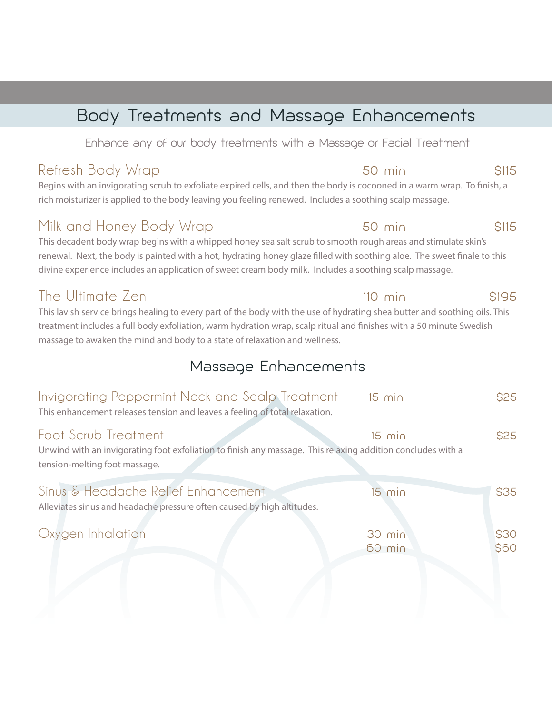## Body Treatments and Massage Enhancements

Enhance any of our body treatments with a Massage or Facial Treatment

Begins with an invigorating scrub to exfoliate expired cells, and then the body is cocooned in a warm wrap. To finish, a rich moisturizer is applied to the body leaving you feeling renewed. Includes a soothing scalp massage.

### Milk and Honey Body Wrap 50 min 50 min \$115

This decadent body wrap begins with a whipped honey sea salt scrub to smooth rough areas and stimulate skin's renewal. Next, the body is painted with a hot, hydrating honey glaze filled with soothing aloe. The sweet finale to this divine experience includes an application of sweet cream body milk. Includes a soothing scalp massage.

### The Ultimate Zen 110 min \$195

This lavish service brings healing to every part of the body with the use of hydrating shea butter and soothing oils. This treatment includes a full body exfoliation, warm hydration wrap, scalp ritual and finishes with a 50 minute Swedish massage to awaken the mind and body to a state of relaxation and wellness.

### Massage Enhancements

| Invigorating Peppermint Neck and Scalp Treatment<br>This enhancement releases tension and leaves a feeling of total relaxation.                                      | $15$ min         | <b>\$25</b>         |
|----------------------------------------------------------------------------------------------------------------------------------------------------------------------|------------------|---------------------|
| Foot Scrub Treatment<br>Unwind with an invigorating foot exfoliation to finish any massage. This relaxing addition concludes with a<br>tension-melting foot massage. | $15$ min         | <b>\$25</b>         |
| Sinus & Headache Relief Enhancement<br>Alleviates sinus and headache pressure often caused by high altitudes.                                                        | $15$ min         | <b>\$35</b>         |
| Oxygen Inhalation                                                                                                                                                    | 30 min<br>60 min | \$30<br><b>\$60</b> |

### Refresh Body Wrap 50 min 50 min \$115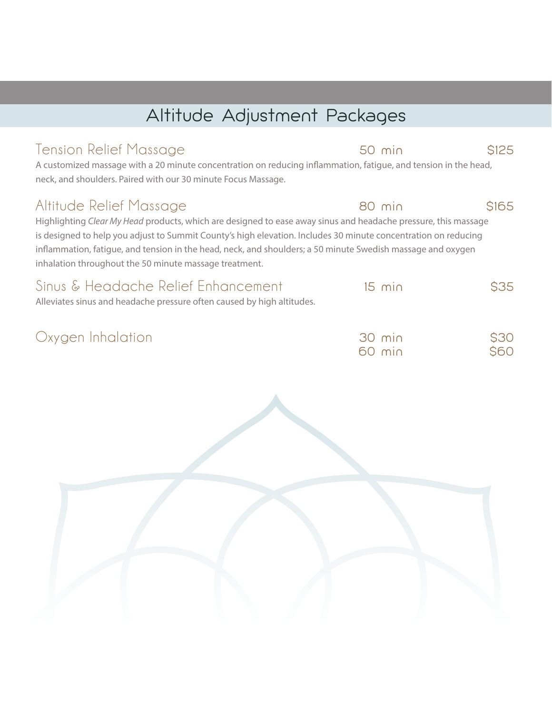## Altitude Adjustment Packages

### Tension Relief Massage 50 min 5125

A customized massage with a 20 minute concentration on reducing inflammation, fatigue, and tension in the head, neck, and shoulders. Paired with our 30 minute Focus Massage.

### Altitude Relief Massage 80 min \$165

Highlighting *Clear My Head* products, which are designed to ease away sinus and headache pressure, this massage is designed to help you adjust to Summit County's high elevation. Includes 30 minute concentration on reducing inflammation, fatigue, and tension in the head, neck, and shoulders; a 50 minute Swedish massage and oxygen inhalation throughout the 50 minute massage treatment.

| Sinus & Headache Relief Enhancement<br>Alleviates sinus and headache pressure often caused by high altitudes. | $15 \text{ min}$ | <b>S35</b> |  |
|---------------------------------------------------------------------------------------------------------------|------------------|------------|--|
| Oxygen Inhalation                                                                                             | 30 min           | <b>S30</b> |  |

60 min \$60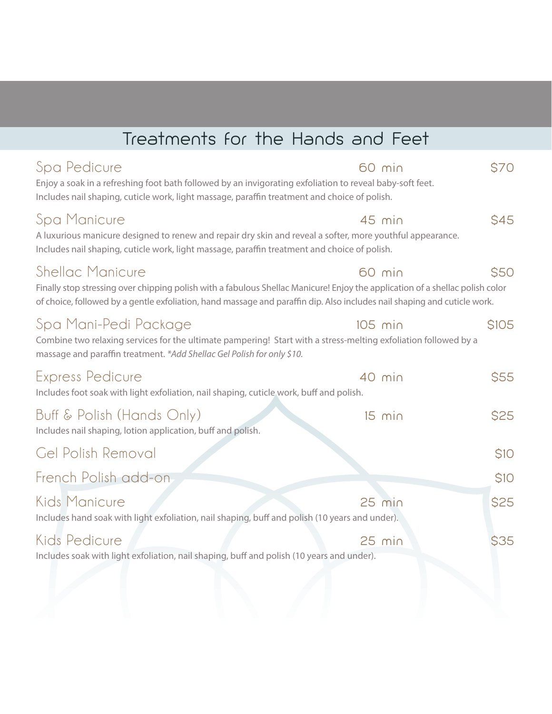| Treatments for the Hands and Feet |  |  |  |
|-----------------------------------|--|--|--|
|                                   |  |  |  |

| Includes nail shaping, cuticle work, light massage, paraffin treatment and choice of polish.                                                                                                                                                                                                   |             |
|------------------------------------------------------------------------------------------------------------------------------------------------------------------------------------------------------------------------------------------------------------------------------------------------|-------------|
| Spa Manicure<br>$45$ min<br>A luxurious manicure designed to renew and repair dry skin and reveal a softer, more youthful appearance.<br>Includes nail shaping, cuticle work, light massage, paraffin treatment and choice of polish.                                                          | <b>S45</b>  |
| <b>Shellac Manicure</b><br>60 min<br>Finally stop stressing over chipping polish with a fabulous Shellac Manicure! Enjoy the application of a shellac polish color<br>of choice, followed by a gentle exfoliation, hand massage and paraffin dip. Also includes nail shaping and cuticle work. | <b>\$50</b> |
| Spa Mani-Pedi Package<br>$105$ min<br>Combine two relaxing services for the ultimate pampering! Start with a stress-melting exfoliation followed by a<br>massage and paraffin treatment. *Add Shellac Gel Polish for only \$10.                                                                | <b>S105</b> |
| <b>Express Pedicure</b><br>40 min<br>Includes foot soak with light exfoliation, nail shaping, cuticle work, buff and polish.                                                                                                                                                                   | \$55        |
| Buff & Polish (Hands Only)<br>$15$ min<br>Includes nail shaping, lotion application, buff and polish.                                                                                                                                                                                          | \$25        |
| Gel Polish Removal                                                                                                                                                                                                                                                                             | <b>\$10</b> |
| French Polish add-on                                                                                                                                                                                                                                                                           | \$10        |
| Kids Manicure<br>$25$ min<br>Includes hand soak with light exfoliation, nail shaping, buff and polish (10 years and under).                                                                                                                                                                    | \$25        |
| Kids Pedicure<br>$25$ min<br>Includes soak with light exfoliation, nail shaping, buff and polish (10 years and under).                                                                                                                                                                         | <b>\$35</b> |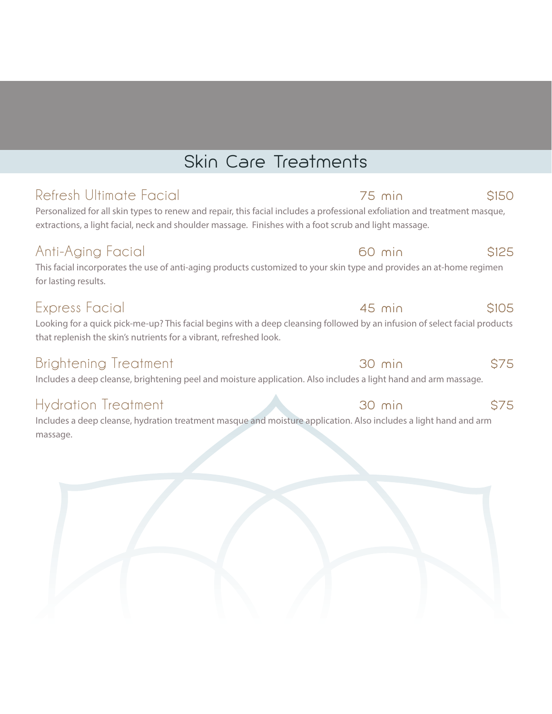## Skin Care Treatments

### Refresh Ultimate Facial 75 min \$150

Personalized for all skin types to renew and repair, this facial includes a professional exfoliation and treatment masque, extractions, a light facial, neck and shoulder massage. Finishes with a foot scrub and light massage.

### Anti-Aging Facial **60 min \$125**

This facial incorporates the use of anti-aging products customized to your skin type and provides an at-home regimen for lasting results.

### Express Facial 6105

Looking for a quick pick-me-up? This facial begins with a deep cleansing followed by an infusion of select facial products that replenish the skin's nutrients for a vibrant, refreshed look.

### Brightening Treatment 30 min \$75

Includes a deep cleanse, brightening peel and moisture application. Also includes a light hand and arm massage.

Includes a deep cleanse, hydration treatment masque and moisture application. Also includes a light hand and arm massage.



### Hydration Treatment 30 min \$75